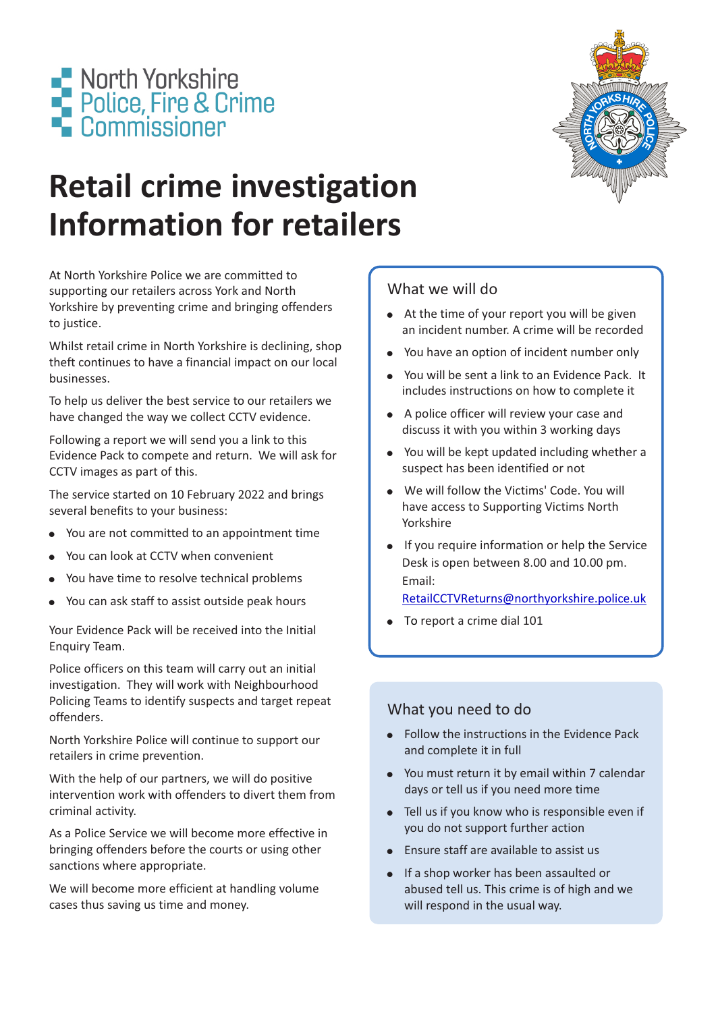

# **Retail crime investigation Information for retailers**

At North Yorkshire Police we are committed to supporting our retailers across York and North Yorkshire by preventing crime and bringing offenders to justice.

Whilst retail crime in North Yorkshire is declining, shop theft continues to have a financial impact on our local businesses.

To help us deliver the best service to our retailers we have changed the way we collect CCTV evidence.

Following a report we will send you a link to this Evidence Pack to compete and return. We will ask for CCTV images as part of this.

The service started on 10 February 2022 and brings several benefits to your business:

- ! You are not committed to an appointment time
- You can look at CCTV when convenient
- You have time to resolve technical problems
- ! You can ask staff to assist outside peak hours

Your Evidence Pack will be received into the Initial Enquiry Team.

Police officers on this team will carry out an initial investigation. They will work with Neighbourhood Policing Teams to identify suspects and target repeat offenders.

North Yorkshire Police will continue to support our retailers in crime prevention.

With the help of our partners, we will do positive intervention work with offenders to divert them from criminal activity.

As a Police Service we will become more effective in bringing offenders before the courts or using other sanctions where appropriate.

We will become more efficient at handling volume cases thus saving us time and money.

## What we will do

- At the time of your report you will be given an incident number. A crime will be recorded
- You have an option of incident number only
- . You will be sent a link to an Evidence Pack. It includes instructions on how to complete it
- A police officer will review your case and discuss it with you within 3 working days
- You will be kept updated including whether a suspect has been identified or not
- . We will follow the Victims' Code. You will have access to Supporting Victims North Yorkshire
- If you require information or help the Service Desk is open between 8.00 and 10.00 pm. Email:

#### [RetailCCTVReturns@northyorkshire.police.uk](http://RetailCCTVReturns@northyorkshire.police.uk)

 $\bullet$  To report a crime dial 101

## What you need to do

- Follow the instructions in the Evidence Pack and complete it in full
- ! You must return it by email within 7 calendar days or tell us if you need more time
- Tell us if you know who is responsible even if you do not support further action
- Ensure staff are available to assist us
- ! If a shop worker has been assaulted or abused tell us. This crime is of high and we will respond in the usual way.